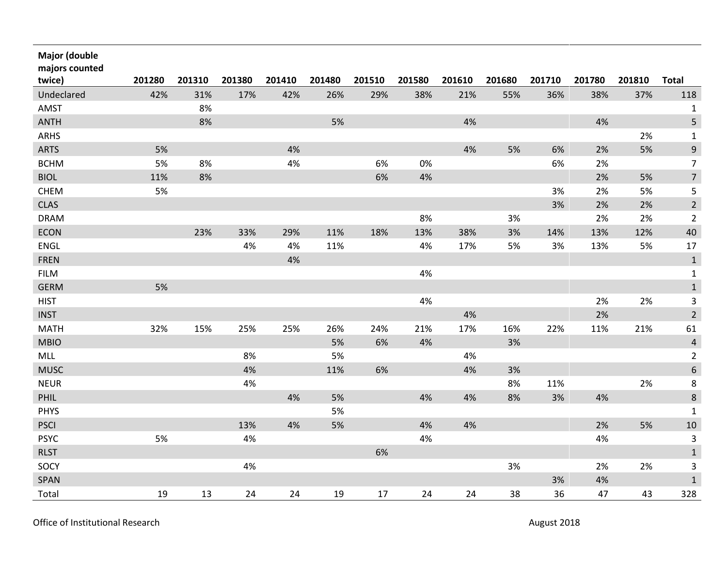| <b>Major (double</b><br>majors counted |        |        |        |        |        |        |        |        |        |        |        |        |                |
|----------------------------------------|--------|--------|--------|--------|--------|--------|--------|--------|--------|--------|--------|--------|----------------|
| twice)                                 | 201280 | 201310 | 201380 | 201410 | 201480 | 201510 | 201580 | 201610 | 201680 | 201710 | 201780 | 201810 | <b>Total</b>   |
| Undeclared                             | 42%    | 31%    | 17%    | 42%    | 26%    | 29%    | 38%    | 21%    | 55%    | 36%    | 38%    | 37%    | 118            |
| AMST                                   |        | 8%     |        |        |        |        |        |        |        |        |        |        | $\mathbf{1}$   |
| <b>ANTH</b>                            |        | 8%     |        |        | 5%     |        |        | 4%     |        |        | 4%     |        | 5              |
| ARHS                                   |        |        |        |        |        |        |        |        |        |        |        | 2%     | $\mathbf 1$    |
| <b>ARTS</b>                            | 5%     |        |        | 4%     |        |        |        | 4%     | 5%     | 6%     | 2%     | 5%     | 9              |
| <b>BCHM</b>                            | 5%     | 8%     |        | 4%     |        | 6%     | 0%     |        |        | 6%     | 2%     |        | $\overline{7}$ |
| <b>BIOL</b>                            | 11%    | 8%     |        |        |        | 6%     | 4%     |        |        |        | 2%     | 5%     | $\overline{7}$ |
| <b>CHEM</b>                            | 5%     |        |        |        |        |        |        |        |        | 3%     | 2%     | 5%     | 5              |
| <b>CLAS</b>                            |        |        |        |        |        |        |        |        |        | 3%     | 2%     | 2%     | $\overline{2}$ |
| <b>DRAM</b>                            |        |        |        |        |        |        | 8%     |        | 3%     |        | 2%     | 2%     | $\overline{2}$ |
| ECON                                   |        | 23%    | 33%    | 29%    | 11%    | 18%    | 13%    | 38%    | 3%     | 14%    | 13%    | 12%    | 40             |
| <b>ENGL</b>                            |        |        | 4%     | 4%     | 11%    |        | 4%     | 17%    | 5%     | 3%     | 13%    | 5%     | 17             |
| <b>FREN</b>                            |        |        |        | 4%     |        |        |        |        |        |        |        |        | $\mathbf{1}$   |
| <b>FILM</b>                            |        |        |        |        |        |        | 4%     |        |        |        |        |        | $\mathbf 1$    |
| <b>GERM</b>                            | 5%     |        |        |        |        |        |        |        |        |        |        |        | $\mathbf{1}$   |
| <b>HIST</b>                            |        |        |        |        |        |        | 4%     |        |        |        | 2%     | 2%     | 3              |
| <b>INST</b>                            |        |        |        |        |        |        |        | 4%     |        |        | 2%     |        | $\overline{2}$ |
| <b>MATH</b>                            | 32%    | 15%    | 25%    | 25%    | 26%    | 24%    | 21%    | 17%    | 16%    | 22%    | 11%    | 21%    | 61             |
| <b>MBIO</b>                            |        |        |        |        | 5%     | 6%     | 4%     |        | 3%     |        |        |        | $\overline{a}$ |
| MLL                                    |        |        | 8%     |        | 5%     |        |        | 4%     |        |        |        |        | $\overline{2}$ |
| <b>MUSC</b>                            |        |        | 4%     |        | 11%    | 6%     |        | 4%     | 3%     |        |        |        | $\,$ 6 $\,$    |
| <b>NEUR</b>                            |        |        | 4%     |        |        |        |        |        | 8%     | 11%    |        | 2%     | $\bf 8$        |
| PHIL                                   |        |        |        | 4%     | 5%     |        | 4%     | 4%     | 8%     | 3%     | 4%     |        | $\bf 8$        |
| <b>PHYS</b>                            |        |        |        |        | 5%     |        |        |        |        |        |        |        | $\mathbf 1$    |
| <b>PSCI</b>                            |        |        | 13%    | 4%     | 5%     |        | 4%     | 4%     |        |        | 2%     | 5%     | 10             |
| <b>PSYC</b>                            | 5%     |        | 4%     |        |        |        | 4%     |        |        |        | 4%     |        | 3              |
| <b>RLST</b>                            |        |        |        |        |        | 6%     |        |        |        |        |        |        | $\mathbf 1$    |
| SOCY                                   |        |        | 4%     |        |        |        |        |        | 3%     |        | 2%     | 2%     | 3              |
| SPAN                                   |        |        |        |        |        |        |        |        |        | 3%     | 4%     |        | 1              |
| Total                                  | 19     | 13     | 24     | 24     | 19     | 17     | 24     | 24     | 38     | 36     | 47     | 43     | 328            |